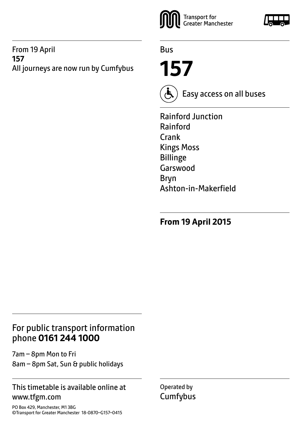#### From 19 April **157** All journeys are now run by Cumfybus



Bus

**157**



Easy access on all buses

Rainford Junction Rainford Crank Kings Moss Billinge Garswood Bryn Ashton-in-Makerfield

**From 19 April 2015**

# For public transport information phone **0161 244 1000**

7am – 8pm Mon to Fri 8am – 8pm Sat, Sun & public holidays

#### This timetable is available online at www.tfgm.com

PO Box 429, Manchester, M1 3BG ©Transport for Greater Manchester 18-0870–G157–0415 Operated by **Cumfybus**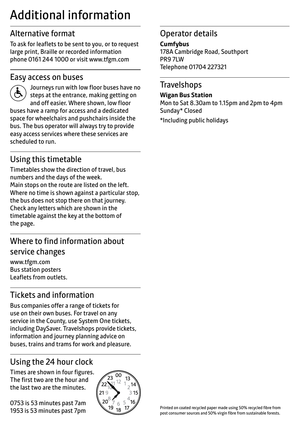# Additional information

# Alternative format

To ask for leaflets to be sent to you, or to request large print, Braille or recorded information phone 0161 244 1000 or visit www.tfgm.com

#### Easy access on buses



 Journeys run with low floor buses have no steps at the entrance, making getting on and off easier. Where shown, low floor buses have a ramp for access and a dedicated space for wheelchairs and pushchairs inside the bus. The bus operator will always try to provide easy access services where these services are scheduled to run.

# Using this timetable

Timetables show the direction of travel, bus numbers and the days of the week. Main stops on the route are listed on the left. Where no time is shown against a particular stop, the bus does not stop there on that journey. Check any letters which are shown in the timetable against the key at the bottom of the page.

# Where to find information about service changes

www.tfgm.com Bus station posters Leaflets from outlets.

# Tickets and information

Bus companies offer a range of tickets for use on their own buses. For travel on any service in the County, use System One tickets, including DaySaver. Travelshops provide tickets, information and journey planning advice on buses, trains and trams for work and pleasure.

# Using the 24 hour clock

Times are shown in four figures. The first two are the hour and the last two are the minutes.

0753 is 53 minutes past 7am 1953 is 53 minutes past 7pm



# Operator details

**Cumfybus**

178A Cambridge Road, Southport PR9 7LW Telephone 01704 227321

#### **Travelshops**

**Wigan Bus Station** Mon to Sat 8.30am to 1.15pm and 2pm to 4pm Sunday\* Closed \*Including public holidays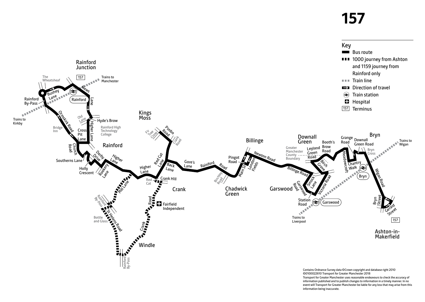# **157**

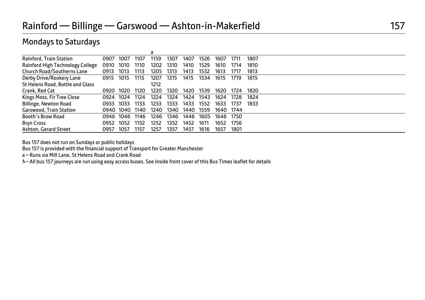#### Mondays to Saturdays

|                                   |       |      |      | а    |      |      |      |      |      |      |  |  |  |
|-----------------------------------|-------|------|------|------|------|------|------|------|------|------|--|--|--|
| Rainford, Train Station           | 0907  | 1007 | 1107 | 1159 | 1307 | 1407 | 1526 | 1607 | 1711 | 1807 |  |  |  |
| Rainford High Technology College  | 0910  | 1010 | 1110 | 1202 | 1310 | 1410 | 1529 | 1610 | 1714 | 1810 |  |  |  |
| <b>Church Road/Southerns Lane</b> | 0913  | 1013 | 1113 | 1205 | 1313 | 1413 | 1532 | 1613 | 1717 | 1813 |  |  |  |
| Derby Drive/Rookery Lane          | 0915  | 1015 | 1115 | 1207 | 1315 | 1415 | 1534 | 1615 | 1719 | 1815 |  |  |  |
| St Helens Road, Bottle and Glass  |       |      |      | 1212 |      |      |      |      |      |      |  |  |  |
| Crank, Red Cat                    | 0920  | 1020 | 1120 | 1220 | 1320 | 1420 | 1539 | 1620 | 1724 | 1820 |  |  |  |
| Kings Moss, Fir Tree Close        | 0924  | 1024 | 1124 | 1224 | 1324 | 1424 | 1543 | 1624 | 1728 | 1824 |  |  |  |
| <b>Billinge, Newton Road</b>      | 0933  | 1033 | 1133 | 1233 | 1333 | 1433 | 1552 | 1633 | 1737 | 1833 |  |  |  |
| <b>Garswood, Train Station</b>    | 0940- | 1040 | 1140 | 1240 | 1340 | 1440 | 1559 | 1640 | 1744 |      |  |  |  |
| <b>Booth's Brow Road</b>          | 0946  | 1046 | 1146 | 1246 | 1346 | 1446 | 1605 | 1646 | 1750 |      |  |  |  |
| <b>Bryn Cross</b>                 | 0952  | 1052 | 1152 | 1252 | 1352 | 1452 | 1611 | 1652 | 1756 |      |  |  |  |
| Ashton, Gerard Street             | 0957  | 1057 | 1157 | 1257 | 1357 | 1457 | 1616 | 1657 | 1801 |      |  |  |  |

Bus 157 does not run on Sundays or public holidays

Bus 157 is provided with the financial support of Transport for Greater Manchester

a – Runs via Mill Lane, St Helens Road and Crank Road

W– All bus 157 journeys are run using easy access buses. See inside front cover of this Bus Times leaflet for details